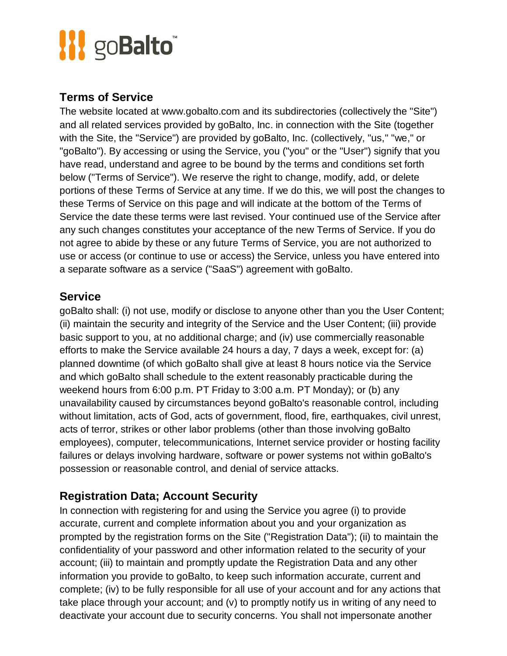#### **Terms of Service**

The website located at www.gobalto.com and its subdirectories (collectively the "Site") and all related services provided by goBalto, Inc. in connection with the Site (together with the Site, the "Service") are provided by goBalto, Inc. (collectively, "us," "we," or "goBalto"). By accessing or using the Service, you ("you" or the "User") signify that you have read, understand and agree to be bound by the terms and conditions set forth below ("Terms of Service"). We reserve the right to change, modify, add, or delete portions of these Terms of Service at any time. If we do this, we will post the changes to these Terms of Service on this page and will indicate at the bottom of the Terms of Service the date these terms were last revised. Your continued use of the Service after any such changes constitutes your acceptance of the new Terms of Service. If you do not agree to abide by these or any future Terms of Service, you are not authorized to use or access (or continue to use or access) the Service, unless you have entered into a separate software as a service ("SaaS") agreement with goBalto.

#### **Service**

goBalto shall: (i) not use, modify or disclose to anyone other than you the User Content; (ii) maintain the security and integrity of the Service and the User Content; (iii) provide basic support to you, at no additional charge; and (iv) use commercially reasonable efforts to make the Service available 24 hours a day, 7 days a week, except for: (a) planned downtime (of which goBalto shall give at least 8 hours notice via the Service and which goBalto shall schedule to the extent reasonably practicable during the weekend hours from 6:00 p.m. PT Friday to 3:00 a.m. PT Monday); or (b) any unavailability caused by circumstances beyond goBalto's reasonable control, including without limitation, acts of God, acts of government, flood, fire, earthquakes, civil unrest, acts of terror, strikes or other labor problems (other than those involving goBalto employees), computer, telecommunications, Internet service provider or hosting facility failures or delays involving hardware, software or power systems not within goBalto's possession or reasonable control, and denial of service attacks.

### **Registration Data; Account Security**

In connection with registering for and using the Service you agree (i) to provide accurate, current and complete information about you and your organization as prompted by the registration forms on the Site ("Registration Data"); (ii) to maintain the confidentiality of your password and other information related to the security of your account; (iii) to maintain and promptly update the Registration Data and any other information you provide to goBalto, to keep such information accurate, current and complete; (iv) to be fully responsible for all use of your account and for any actions that take place through your account; and (v) to promptly notify us in writing of any need to deactivate your account due to security concerns. You shall not impersonate another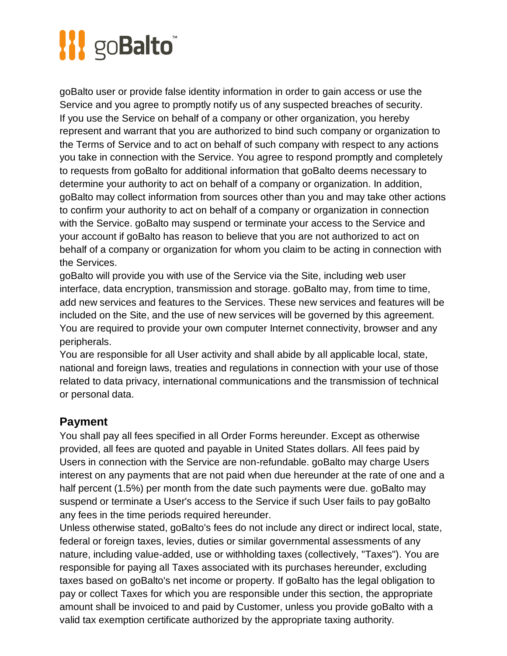goBalto user or provide false identity information in order to gain access or use the Service and you agree to promptly notify us of any suspected breaches of security. If you use the Service on behalf of a company or other organization, you hereby represent and warrant that you are authorized to bind such company or organization to the Terms of Service and to act on behalf of such company with respect to any actions you take in connection with the Service. You agree to respond promptly and completely to requests from goBalto for additional information that goBalto deems necessary to determine your authority to act on behalf of a company or organization. In addition, goBalto may collect information from sources other than you and may take other actions to confirm your authority to act on behalf of a company or organization in connection with the Service. goBalto may suspend or terminate your access to the Service and your account if goBalto has reason to believe that you are not authorized to act on behalf of a company or organization for whom you claim to be acting in connection with the Services.

goBalto will provide you with use of the Service via the Site, including web user interface, data encryption, transmission and storage. goBalto may, from time to time, add new services and features to the Services. These new services and features will be included on the Site, and the use of new services will be governed by this agreement. You are required to provide your own computer Internet connectivity, browser and any peripherals.

You are responsible for all User activity and shall abide by all applicable local, state, national and foreign laws, treaties and regulations in connection with your use of those related to data privacy, international communications and the transmission of technical or personal data.

#### **Payment**

You shall pay all fees specified in all Order Forms hereunder. Except as otherwise provided, all fees are quoted and payable in United States dollars. All fees paid by Users in connection with the Service are non-refundable. goBalto may charge Users interest on any payments that are not paid when due hereunder at the rate of one and a half percent (1.5%) per month from the date such payments were due. goBalto may suspend or terminate a User's access to the Service if such User fails to pay goBalto any fees in the time periods required hereunder.

Unless otherwise stated, goBalto's fees do not include any direct or indirect local, state, federal or foreign taxes, levies, duties or similar governmental assessments of any nature, including value-added, use or withholding taxes (collectively, "Taxes"). You are responsible for paying all Taxes associated with its purchases hereunder, excluding taxes based on goBalto's net income or property. If goBalto has the legal obligation to pay or collect Taxes for which you are responsible under this section, the appropriate amount shall be invoiced to and paid by Customer, unless you provide goBalto with a valid tax exemption certificate authorized by the appropriate taxing authority.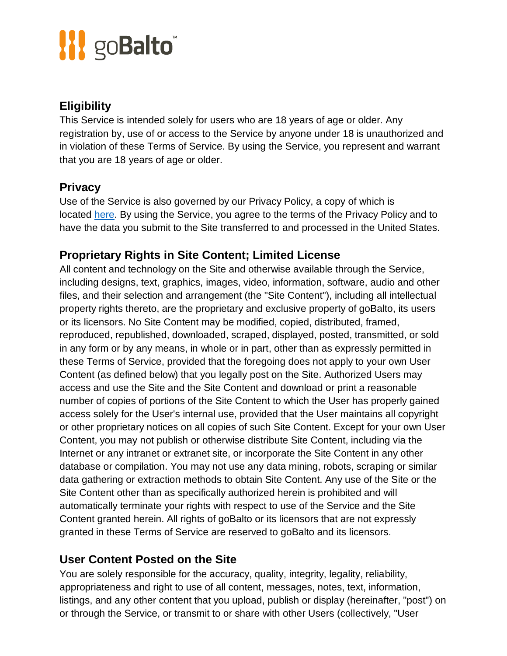## **Eligibility**

This Service is intended solely for users who are 18 years of age or older. Any registration by, use of or access to the Service by anyone under 18 is unauthorized and in violation of these Terms of Service. By using the Service, you represent and warrant that you are 18 years of age or older.

## **Privacy**

Use of the Service is also governed by our Privacy Policy, a copy of which is located [here.](https://www.gobalto.com/privacy-policy) By using the Service, you agree to the terms of the Privacy Policy and to have the data you submit to the Site transferred to and processed in the United States.

## **Proprietary Rights in Site Content; Limited License**

All content and technology on the Site and otherwise available through the Service, including designs, text, graphics, images, video, information, software, audio and other files, and their selection and arrangement (the "Site Content"), including all intellectual property rights thereto, are the proprietary and exclusive property of goBalto, its users or its licensors. No Site Content may be modified, copied, distributed, framed, reproduced, republished, downloaded, scraped, displayed, posted, transmitted, or sold in any form or by any means, in whole or in part, other than as expressly permitted in these Terms of Service, provided that the foregoing does not apply to your own User Content (as defined below) that you legally post on the Site. Authorized Users may access and use the Site and the Site Content and download or print a reasonable number of copies of portions of the Site Content to which the User has properly gained access solely for the User's internal use, provided that the User maintains all copyright or other proprietary notices on all copies of such Site Content. Except for your own User Content, you may not publish or otherwise distribute Site Content, including via the Internet or any intranet or extranet site, or incorporate the Site Content in any other database or compilation. You may not use any data mining, robots, scraping or similar data gathering or extraction methods to obtain Site Content. Any use of the Site or the Site Content other than as specifically authorized herein is prohibited and will automatically terminate your rights with respect to use of the Service and the Site Content granted herein. All rights of goBalto or its licensors that are not expressly granted in these Terms of Service are reserved to goBalto and its licensors.

### **User Content Posted on the Site**

You are solely responsible for the accuracy, quality, integrity, legality, reliability, appropriateness and right to use of all content, messages, notes, text, information, listings, and any other content that you upload, publish or display (hereinafter, "post") on or through the Service, or transmit to or share with other Users (collectively, "User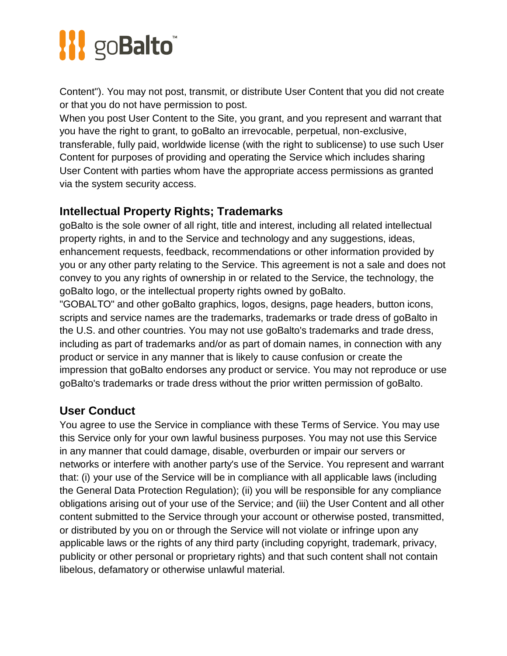Content"). You may not post, transmit, or distribute User Content that you did not create or that you do not have permission to post.

When you post User Content to the Site, you grant, and you represent and warrant that you have the right to grant, to goBalto an irrevocable, perpetual, non-exclusive, transferable, fully paid, worldwide license (with the right to sublicense) to use such User Content for purposes of providing and operating the Service which includes sharing User Content with parties whom have the appropriate access permissions as granted via the system security access.

## **Intellectual Property Rights; Trademarks**

goBalto is the sole owner of all right, title and interest, including all related intellectual property rights, in and to the Service and technology and any suggestions, ideas, enhancement requests, feedback, recommendations or other information provided by you or any other party relating to the Service. This agreement is not a sale and does not convey to you any rights of ownership in or related to the Service, the technology, the goBalto logo, or the intellectual property rights owned by goBalto.

"GOBALTO" and other goBalto graphics, logos, designs, page headers, button icons, scripts and service names are the trademarks, trademarks or trade dress of goBalto in the U.S. and other countries. You may not use goBalto's trademarks and trade dress, including as part of trademarks and/or as part of domain names, in connection with any product or service in any manner that is likely to cause confusion or create the impression that goBalto endorses any product or service. You may not reproduce or use goBalto's trademarks or trade dress without the prior written permission of goBalto.

## **User Conduct**

You agree to use the Service in compliance with these Terms of Service. You may use this Service only for your own lawful business purposes. You may not use this Service in any manner that could damage, disable, overburden or impair our servers or networks or interfere with another party's use of the Service. You represent and warrant that: (i) your use of the Service will be in compliance with all applicable laws (including the General Data Protection Regulation); (ii) you will be responsible for any compliance obligations arising out of your use of the Service; and (iii) the User Content and all other content submitted to the Service through your account or otherwise posted, transmitted, or distributed by you on or through the Service will not violate or infringe upon any applicable laws or the rights of any third party (including copyright, trademark, privacy, publicity or other personal or proprietary rights) and that such content shall not contain libelous, defamatory or otherwise unlawful material.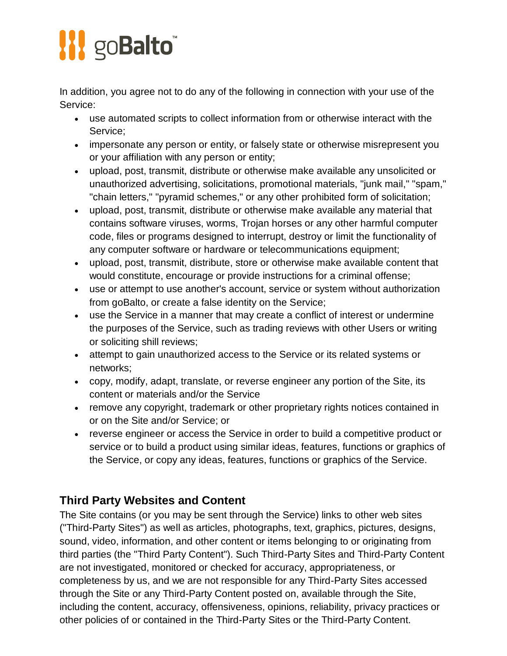In addition, you agree not to do any of the following in connection with your use of the Service:

- use automated scripts to collect information from or otherwise interact with the Service;
- impersonate any person or entity, or falsely state or otherwise misrepresent you or your affiliation with any person or entity;
- upload, post, transmit, distribute or otherwise make available any unsolicited or unauthorized advertising, solicitations, promotional materials, "junk mail," "spam," "chain letters," "pyramid schemes," or any other prohibited form of solicitation;
- upload, post, transmit, distribute or otherwise make available any material that contains software viruses, worms, Trojan horses or any other harmful computer code, files or programs designed to interrupt, destroy or limit the functionality of any computer software or hardware or telecommunications equipment;
- upload, post, transmit, distribute, store or otherwise make available content that would constitute, encourage or provide instructions for a criminal offense;
- use or attempt to use another's account, service or system without authorization from goBalto, or create a false identity on the Service;
- use the Service in a manner that may create a conflict of interest or undermine the purposes of the Service, such as trading reviews with other Users or writing or soliciting shill reviews;
- attempt to gain unauthorized access to the Service or its related systems or networks;
- copy, modify, adapt, translate, or reverse engineer any portion of the Site, its content or materials and/or the Service
- remove any copyright, trademark or other proprietary rights notices contained in or on the Site and/or Service; or
- reverse engineer or access the Service in order to build a competitive product or service or to build a product using similar ideas, features, functions or graphics of the Service, or copy any ideas, features, functions or graphics of the Service.

## **Third Party Websites and Content**

The Site contains (or you may be sent through the Service) links to other web sites ("Third-Party Sites") as well as articles, photographs, text, graphics, pictures, designs, sound, video, information, and other content or items belonging to or originating from third parties (the "Third Party Content"). Such Third-Party Sites and Third-Party Content are not investigated, monitored or checked for accuracy, appropriateness, or completeness by us, and we are not responsible for any Third-Party Sites accessed through the Site or any Third-Party Content posted on, available through the Site, including the content, accuracy, offensiveness, opinions, reliability, privacy practices or other policies of or contained in the Third-Party Sites or the Third-Party Content.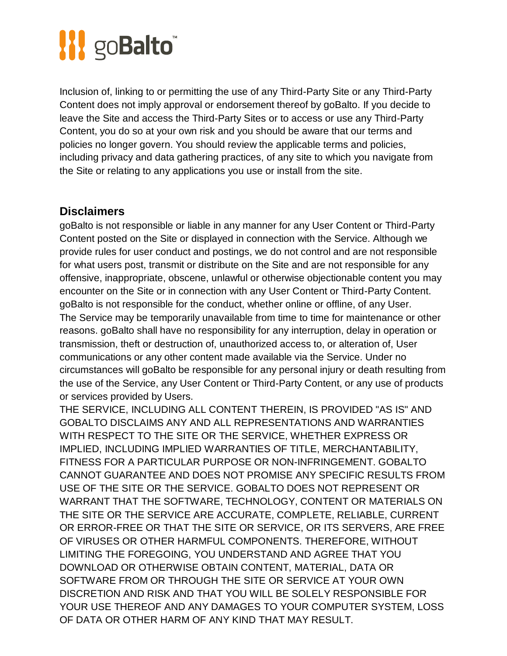Inclusion of, linking to or permitting the use of any Third-Party Site or any Third-Party Content does not imply approval or endorsement thereof by goBalto. If you decide to leave the Site and access the Third-Party Sites or to access or use any Third-Party Content, you do so at your own risk and you should be aware that our terms and policies no longer govern. You should review the applicable terms and policies, including privacy and data gathering practices, of any site to which you navigate from the Site or relating to any applications you use or install from the site.

#### **Disclaimers**

goBalto is not responsible or liable in any manner for any User Content or Third-Party Content posted on the Site or displayed in connection with the Service. Although we provide rules for user conduct and postings, we do not control and are not responsible for what users post, transmit or distribute on the Site and are not responsible for any offensive, inappropriate, obscene, unlawful or otherwise objectionable content you may encounter on the Site or in connection with any User Content or Third-Party Content. goBalto is not responsible for the conduct, whether online or offline, of any User. The Service may be temporarily unavailable from time to time for maintenance or other reasons. goBalto shall have no responsibility for any interruption, delay in operation or transmission, theft or destruction of, unauthorized access to, or alteration of, User communications or any other content made available via the Service. Under no circumstances will goBalto be responsible for any personal injury or death resulting from the use of the Service, any User Content or Third-Party Content, or any use of products or services provided by Users.

THE SERVICE, INCLUDING ALL CONTENT THEREIN, IS PROVIDED "AS IS" AND GOBALTO DISCLAIMS ANY AND ALL REPRESENTATIONS AND WARRANTIES WITH RESPECT TO THE SITE OR THE SERVICE, WHETHER EXPRESS OR IMPLIED, INCLUDING IMPLIED WARRANTIES OF TITLE, MERCHANTABILITY, FITNESS FOR A PARTICULAR PURPOSE OR NON-INFRINGEMENT. GOBALTO CANNOT GUARANTEE AND DOES NOT PROMISE ANY SPECIFIC RESULTS FROM USE OF THE SITE OR THE SERVICE. GOBALTO DOES NOT REPRESENT OR WARRANT THAT THE SOFTWARE, TECHNOLOGY, CONTENT OR MATERIALS ON THE SITE OR THE SERVICE ARE ACCURATE, COMPLETE, RELIABLE, CURRENT OR ERROR-FREE OR THAT THE SITE OR SERVICE, OR ITS SERVERS, ARE FREE OF VIRUSES OR OTHER HARMFUL COMPONENTS. THEREFORE, WITHOUT LIMITING THE FOREGOING, YOU UNDERSTAND AND AGREE THAT YOU DOWNLOAD OR OTHERWISE OBTAIN CONTENT, MATERIAL, DATA OR SOFTWARE FROM OR THROUGH THE SITE OR SERVICE AT YOUR OWN DISCRETION AND RISK AND THAT YOU WILL BE SOLELY RESPONSIBLE FOR YOUR USE THEREOF AND ANY DAMAGES TO YOUR COMPUTER SYSTEM, LOSS OF DATA OR OTHER HARM OF ANY KIND THAT MAY RESULT.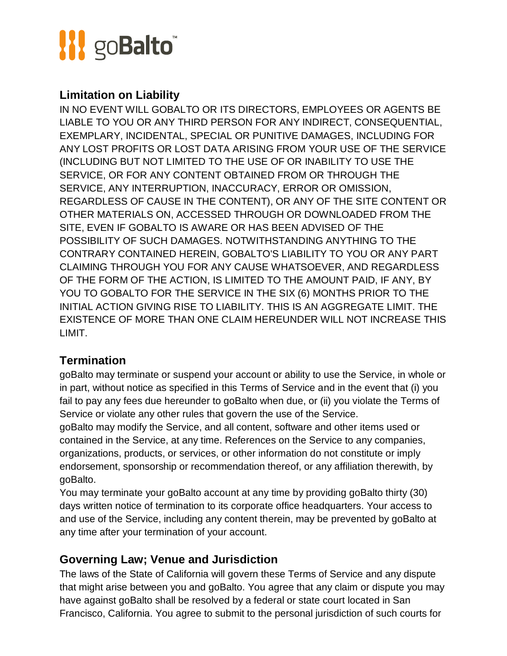

#### **Limitation on Liability**

IN NO EVENT WILL GOBALTO OR ITS DIRECTORS, EMPLOYEES OR AGENTS BE LIABLE TO YOU OR ANY THIRD PERSON FOR ANY INDIRECT, CONSEQUENTIAL, EXEMPLARY, INCIDENTAL, SPECIAL OR PUNITIVE DAMAGES, INCLUDING FOR ANY LOST PROFITS OR LOST DATA ARISING FROM YOUR USE OF THE SERVICE (INCLUDING BUT NOT LIMITED TO THE USE OF OR INABILITY TO USE THE SERVICE, OR FOR ANY CONTENT OBTAINED FROM OR THROUGH THE SERVICE, ANY INTERRUPTION, INACCURACY, ERROR OR OMISSION, REGARDLESS OF CAUSE IN THE CONTENT), OR ANY OF THE SITE CONTENT OR OTHER MATERIALS ON, ACCESSED THROUGH OR DOWNLOADED FROM THE SITE, EVEN IF GOBALTO IS AWARE OR HAS BEEN ADVISED OF THE POSSIBILITY OF SUCH DAMAGES. NOTWITHSTANDING ANYTHING TO THE CONTRARY CONTAINED HEREIN, GOBALTO'S LIABILITY TO YOU OR ANY PART CLAIMING THROUGH YOU FOR ANY CAUSE WHATSOEVER, AND REGARDLESS OF THE FORM OF THE ACTION, IS LIMITED TO THE AMOUNT PAID, IF ANY, BY YOU TO GOBALTO FOR THE SERVICE IN THE SIX (6) MONTHS PRIOR TO THE INITIAL ACTION GIVING RISE TO LIABILITY. THIS IS AN AGGREGATE LIMIT. THE EXISTENCE OF MORE THAN ONE CLAIM HEREUNDER WILL NOT INCREASE THIS LIMIT.

### **Termination**

goBalto may terminate or suspend your account or ability to use the Service, in whole or in part, without notice as specified in this Terms of Service and in the event that (i) you fail to pay any fees due hereunder to goBalto when due, or (ii) you violate the Terms of Service or violate any other rules that govern the use of the Service.

goBalto may modify the Service, and all content, software and other items used or contained in the Service, at any time. References on the Service to any companies, organizations, products, or services, or other information do not constitute or imply endorsement, sponsorship or recommendation thereof, or any affiliation therewith, by goBalto.

You may terminate your goBalto account at any time by providing goBalto thirty (30) days written notice of termination to its corporate office headquarters. Your access to and use of the Service, including any content therein, may be prevented by goBalto at any time after your termination of your account.

#### **Governing Law; Venue and Jurisdiction**

The laws of the State of California will govern these Terms of Service and any dispute that might arise between you and goBalto. You agree that any claim or dispute you may have against goBalto shall be resolved by a federal or state court located in San Francisco, California. You agree to submit to the personal jurisdiction of such courts for